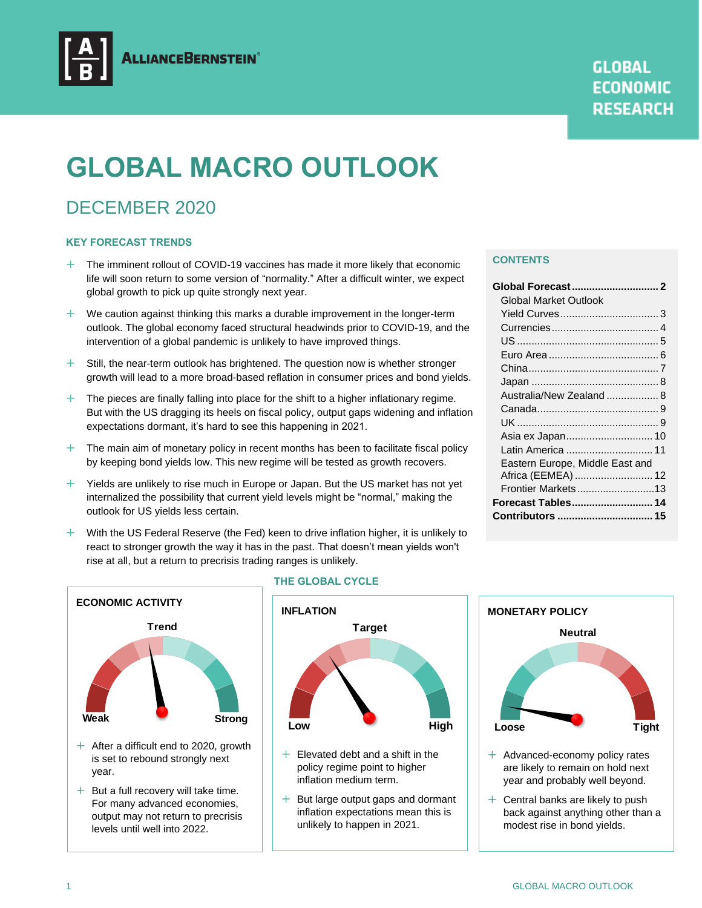

# **GLOBAL MACRO OUTLOOK**

## DECEMBER 2020

## **KEY FORECAST TRENDS**

- + The imminent rollout of COVID-19 vaccines has made it more likely that economic life will soon return to some version of "normality." After a difficult winter, we expect global growth to pick up quite strongly next year.
- $+$  We caution against thinking this marks a durable improvement in the longer-term outlook. The global economy faced structural headwinds prior to COVID-19, and the intervention of a global pandemic is unlikely to have improved things.
- $+$  Still, the near-term outlook has brightened. The question now is whether stronger growth will lead to a more broad-based reflation in consumer prices and bond yields.
- $+$  The pieces are finally falling into place for the shift to a higher inflationary regime. But with the US dragging its heels on fiscal policy, output gaps widening and inflation expectations dormant, it's hard to see this happening in 2021.
- $+$  The main aim of monetary policy in recent months has been to facilitate fiscal policy by keeping bond yields low. This new regime will be tested as growth recovers.
- $+$  Yields are unlikely to rise much in Europe or Japan. But the US market has not yet internalized the possibility that current yield levels might be "normal," making the outlook for US yields less certain.
- $+$  With the US Federal Reserve (the Fed) keen to drive inflation higher, it is unlikely to react to stronger growth the way it has in the past. That doesn't mean yields won't rise at all, but a return to precrisis trading ranges is unlikely.

#### **CONTENTS**

| Global Market Outlook           |  |
|---------------------------------|--|
|                                 |  |
|                                 |  |
|                                 |  |
|                                 |  |
|                                 |  |
|                                 |  |
| Australia/New Zealand  8        |  |
|                                 |  |
|                                 |  |
| Asia ex Japan 10                |  |
| Latin America  11               |  |
| Eastern Europe, Middle East and |  |
| Africa (EEMEA)  12              |  |
| Frontier Markets13              |  |
| Forecast Tables 14              |  |
| Contributors  15                |  |
|                                 |  |



- is set to rebound strongly next year.
- $+$  But a full recovery will take time. For many advanced economies, output may not return to precrisis levels until well into 2022.

## **THE GLOBAL CYCLE**



- $+$  Elevated debt and a shift in the policy regime point to higher inflation medium term.
- $+$  But large output gaps and dormant inflation expectations mean this is unlikely to happen in 2021.



- are likely to remain on hold next year and probably well beyond.
- $+$  Central banks are likely to push back against anything other than a modest rise in bond yields.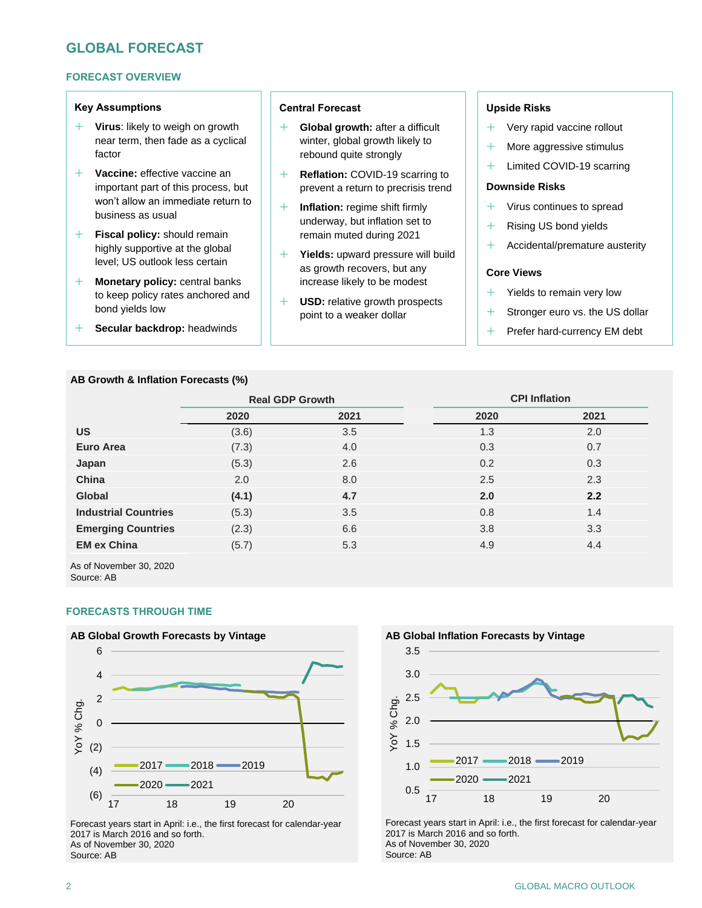## **GLOBAL FORECAST**

## **FORECAST OVERVIEW**

## **Key Assumptions**

- **Virus**: likely to weigh on growth near term, then fade as a cyclical factor
- **Vaccine:** effective vaccine an important part of this process, but won't allow an immediate return to business as usual
- **Fiscal policy:** should remain highly supportive at the global level; US outlook less certain
- **Monetary policy:** central banks to keep policy rates anchored and bond yields low
- **Secular backdrop:** headwinds

#### **AB Growth & Inflation Forecasts (%)**

## **Central Forecast**

- **Global growth:** after a difficult winter, global growth likely to rebound quite strongly
- **Reflation:** COVID-19 scarring to prevent a return to precrisis trend
- **Inflation:** regime shift firmly underway, but inflation set to remain muted during 2021
- **Yields:** upward pressure will build as growth recovers, but any increase likely to be modest
- **USD:** relative growth prospects point to a weaker dollar

## **Upside Risks**

- Very rapid vaccine rollout
- $+$  More aggressive stimulus
- + Limited COVID-19 scarring

#### **Downside Risks**

- $+$  Virus continues to spread
- + Rising US bond yields
- $+$  Accidental/premature austerity

## **Core Views**

- Yields to remain very low
- + Stronger euro vs. the US dollar
- + Prefer hard-currency EM debt

|       |      | <b>CPI Inflation</b>   |      |  |  |  |
|-------|------|------------------------|------|--|--|--|
| 2020  | 2021 | 2020                   | 2021 |  |  |  |
| (3.6) | 3.5  | 1.3                    | 2.0  |  |  |  |
| (7.3) | 4.0  | 0.3                    | 0.7  |  |  |  |
| (5.3) | 2.6  | 0.2                    | 0.3  |  |  |  |
| 2.0   | 8.0  | 2.5                    | 2.3  |  |  |  |
| (4.1) | 4.7  | 2.0                    | 2.2  |  |  |  |
| (5.3) | 3.5  | 0.8                    | 1.4  |  |  |  |
| (2.3) | 6.6  | 3.8                    | 3.3  |  |  |  |
| (5.7) | 5.3  | 4.9                    | 4.4  |  |  |  |
|       |      | <b>Real GDP Growth</b> |      |  |  |  |

As of November 30, 2020 Source: AB

## **FORECASTS THROUGH TIME**



Forecast years start in April: i.e., the first forecast for calendar-year 2017 is March 2016 and so forth. As of November 30, 2020 Source: AB



Forecast years start in April: i.e., the first forecast for calendar-year 2017 is March 2016 and so forth. As of November 30, 2020 Source: AB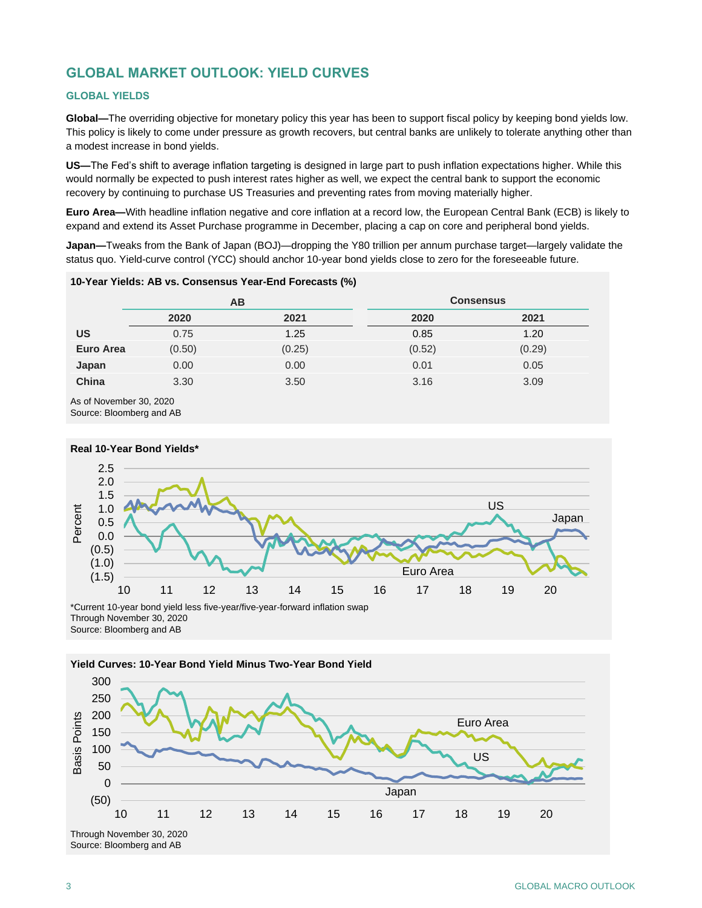## **GLOBAL MARKET OUTLOOK: YIELD CURVES**

## **GLOBAL YIELDS**

**Global—**The overriding objective for monetary policy this year has been to support fiscal policy by keeping bond yields low. This policy is likely to come under pressure as growth recovers, but central banks are unlikely to tolerate anything other than a modest increase in bond yields.

**US—**The Fed's shift to average inflation targeting is designed in large part to push inflation expectations higher. While this would normally be expected to push interest rates higher as well, we expect the central bank to support the economic recovery by continuing to purchase US Treasuries and preventing rates from moving materially higher.

**Euro Area—**With headline inflation negative and core inflation at a record low, the European Central Bank (ECB) is likely to expand and extend its Asset Purchase programme in December, placing a cap on core and peripheral bond yields.

**Japan—**Tweaks from the Bank of Japan (BOJ)—dropping the Y80 trillion per annum purchase target—largely validate the status quo. Yield-curve control (YCC) should anchor 10-year bond yields close to zero for the foreseeable future.

#### **10-Year Yields: AB vs. Consensus Year-End Forecasts (%)**

|                  |        | AB     | <b>Consensus</b> |        |  |  |
|------------------|--------|--------|------------------|--------|--|--|
|                  | 2020   | 2021   | 2020             | 2021   |  |  |
| <b>US</b>        | 0.75   | 1.25   | 0.85             | 1.20   |  |  |
| <b>Euro Area</b> | (0.50) | (0.25) | (0.52)           | (0.29) |  |  |
| Japan            | 0.00   | 0.00   | 0.01             | 0.05   |  |  |
| China            | 3.30   | 3.50   | 3.16             | 3.09   |  |  |
| .                |        |        |                  |        |  |  |

As of November 30, 2020 Source: Bloomberg and AB



Source: Bloomberg and AB

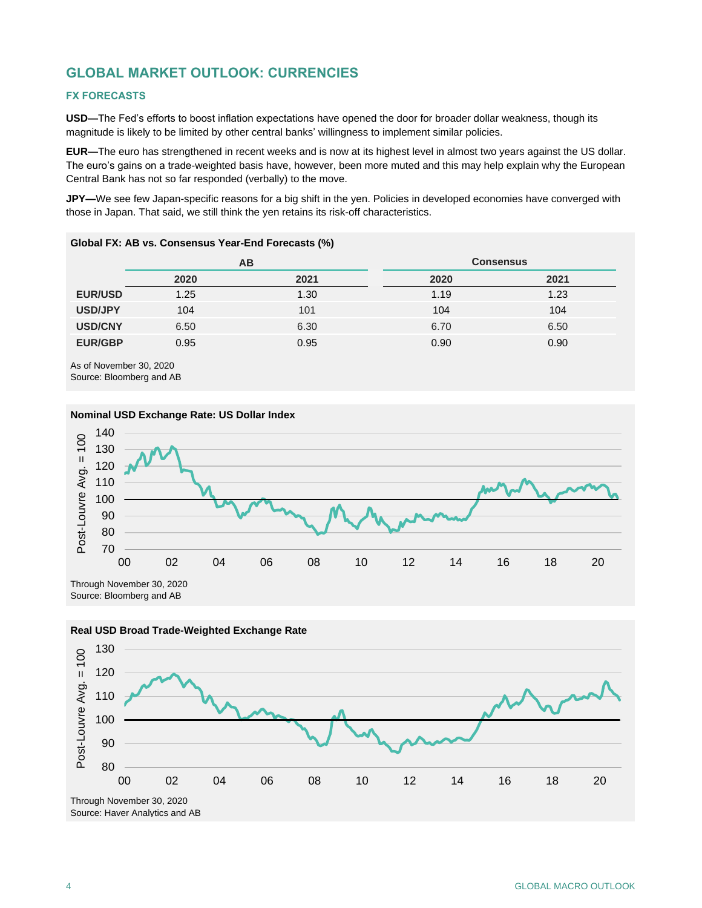## **GLOBAL MARKET OUTLOOK: CURRENCIES**

## **FX FORECASTS**

**USD—**The Fed's efforts to boost inflation expectations have opened the door for broader dollar weakness, though its magnitude is likely to be limited by other central banks' willingness to implement similar policies.

**EUR—**The euro has strengthened in recent weeks and is now at its highest level in almost two years against the US dollar. The euro's gains on a trade-weighted basis have, however, been more muted and this may help explain why the European Central Bank has not so far responded (verbally) to the move.

**JPY—**We see few Japan-specific reasons for a big shift in the yen. Policies in developed economies have converged with those in Japan. That said, we still think the yen retains its risk-off characteristics.

|                |      | AВ   | <b>Consensus</b> |      |  |  |
|----------------|------|------|------------------|------|--|--|
|                | 2020 | 2021 | 2020             | 2021 |  |  |
| <b>EUR/USD</b> | 1.25 | 1.30 | 1.19             | 1.23 |  |  |
| USD/JPY        | 104  | 101  | 104              | 104  |  |  |
| <b>USD/CNY</b> | 6.50 | 6.30 | 6.70             | 6.50 |  |  |
| <b>EUR/GBP</b> | 0.95 | 0.95 | 0.90             | 0.90 |  |  |

## **Global FX: AB vs. Consensus Year-End Forecasts (%)**

As of November 30, 2020 Source: Bloomberg and AB



#### **Nominal USD Exchange Rate: US Dollar Index**

Source: Bloomberg and AB



## **Real USD Broad Trade-Weighted Exchange Rate**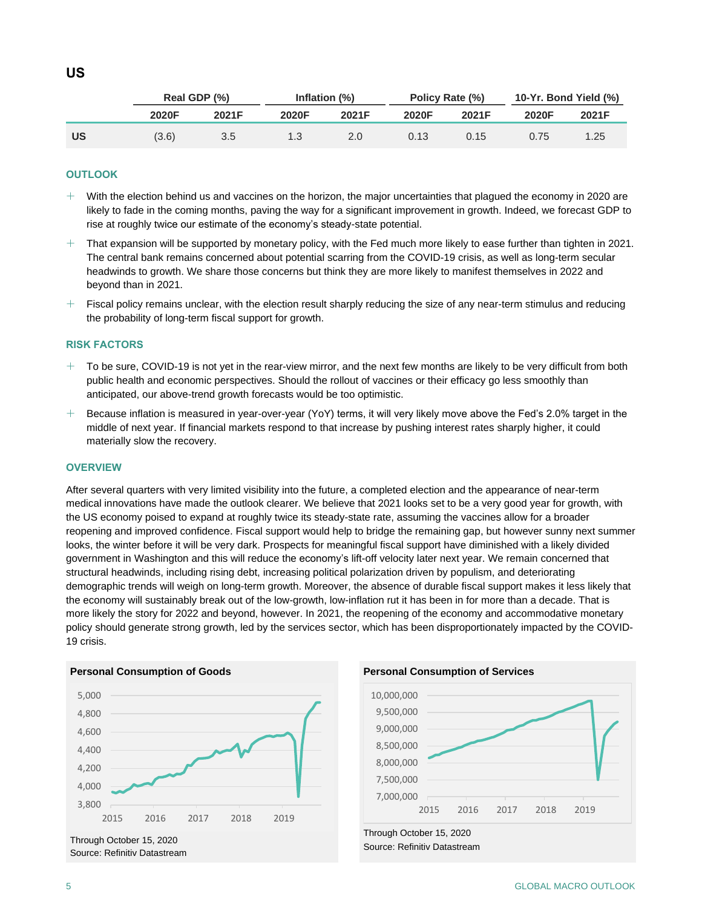|           | Real GDP (%) |       |       | Inflation (%) | Policy Rate (%) |       | 10-Yr. Bond Yield (%) |       |
|-----------|--------------|-------|-------|---------------|-----------------|-------|-----------------------|-------|
|           | 2020F        | 2021F | 2020F | 2021F         | 2020F           | 2021F | 2020F                 | 2021F |
| <b>US</b> | (3.6)        | 3.5   | 1.3   | 2.0           | 0.13            | 0.15  | 0.75                  | .25   |

## **OUTLOOK**

- $+$  With the election behind us and vaccines on the horizon, the major uncertainties that plagued the economy in 2020 are likely to fade in the coming months, paving the way for a significant improvement in growth. Indeed, we forecast GDP to rise at roughly twice our estimate of the economy's steady-state potential.
- $+$  That expansion will be supported by monetary policy, with the Fed much more likely to ease further than tighten in 2021. The central bank remains concerned about potential scarring from the COVID-19 crisis, as well as long-term secular headwinds to growth. We share those concerns but think they are more likely to manifest themselves in 2022 and beyond than in 2021.
- $+$  Fiscal policy remains unclear, with the election result sharply reducing the size of any near-term stimulus and reducing the probability of long-term fiscal support for growth.

#### **RISK FACTORS**

- $+$  To be sure, COVID-19 is not yet in the rear-view mirror, and the next few months are likely to be very difficult from both public health and economic perspectives. Should the rollout of vaccines or their efficacy go less smoothly than anticipated, our above-trend growth forecasts would be too optimistic.
- $+$  Because inflation is measured in year-over-year (YoY) terms, it will very likely move above the Fed's 2.0% target in the middle of next year. If financial markets respond to that increase by pushing interest rates sharply higher, it could materially slow the recovery.

## **OVERVIEW**

After several quarters with very limited visibility into the future, a completed election and the appearance of near-term medical innovations have made the outlook clearer. We believe that 2021 looks set to be a very good year for growth, with the US economy poised to expand at roughly twice its steady-state rate, assuming the vaccines allow for a broader reopening and improved confidence. Fiscal support would help to bridge the remaining gap, but however sunny next summer looks, the winter before it will be very dark. Prospects for meaningful fiscal support have diminished with a likely divided government in Washington and this will reduce the economy's lift-off velocity later next year. We remain concerned that structural headwinds, including rising debt, increasing political polarization driven by populism, and deteriorating demographic trends will weigh on long-term growth. Moreover, the absence of durable fiscal support makes it less likely that the economy will sustainably break out of the low-growth, low-inflation rut it has been in for more than a decade. That is more likely the story for 2022 and beyond, however. In 2021, the reopening of the economy and accommodative monetary policy should generate strong growth, led by the services sector, which has been disproportionately impacted by the COVID-19 crisis.

#### **Personal Consumption of Goods**



Source: Refinitiv Datastream

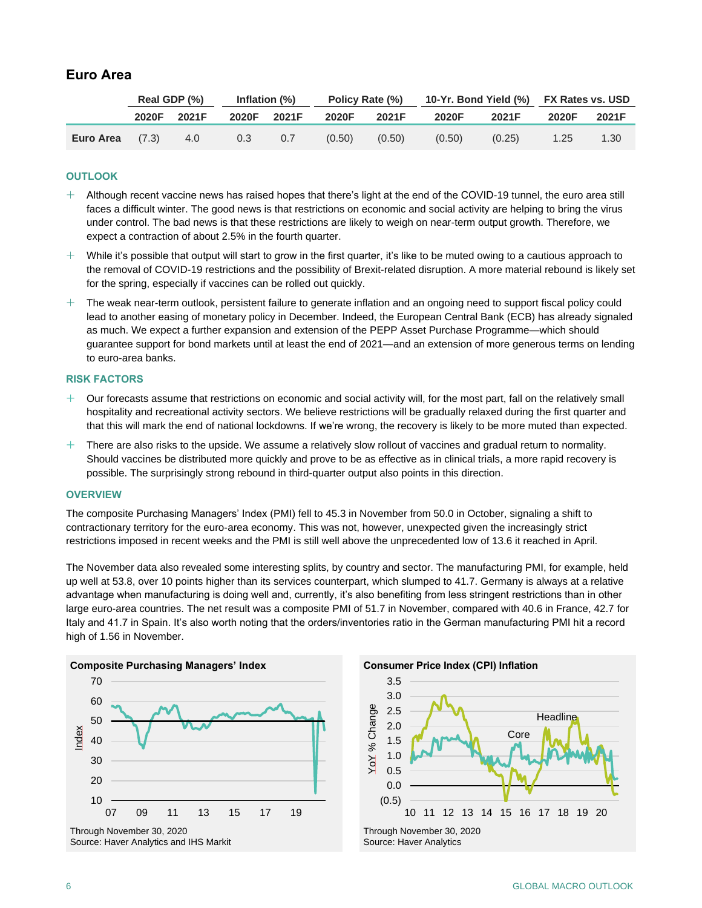## **Euro Area**

|                   |       | Real GDP (%) | Inflation (%) |       | Policy Rate (%) |        | 10-Yr. Bond Yield (%) FX Rates vs. USD |        |       |       |
|-------------------|-------|--------------|---------------|-------|-----------------|--------|----------------------------------------|--------|-------|-------|
|                   | 2020F | 2021F        | 2020F         | 2021F | 2020F           | 2021F  | 2020F                                  | 2021F  | 2020F | 2021F |
| Euro Area $(7.3)$ |       | 4.0          | 0.3           | 0.7   | (0.50)          | (0.50) | (0.50)                                 | (0.25) | 1.25  | 1.30  |

## **OUTLOOK**

- $+$  Although recent vaccine news has raised hopes that there's light at the end of the COVID-19 tunnel, the euro area still faces a difficult winter. The good news is that restrictions on economic and social activity are helping to bring the virus under control. The bad news is that these restrictions are likely to weigh on near-term output growth. Therefore, we expect a contraction of about 2.5% in the fourth quarter.
- $+$  While it's possible that output will start to grow in the first quarter, it's like to be muted owing to a cautious approach to the removal of COVID-19 restrictions and the possibility of Brexit-related disruption. A more material rebound is likely set for the spring, especially if vaccines can be rolled out quickly.
- $+$  The weak near-term outlook, persistent failure to generate inflation and an ongoing need to support fiscal policy could lead to another easing of monetary policy in December. Indeed, the European Central Bank (ECB) has already signaled as much. We expect a further expansion and extension of the PEPP Asset Purchase Programme—which should guarantee support for bond markets until at least the end of 2021—and an extension of more generous terms on lending to euro-area banks.

## **RISK FACTORS**

- $+$  Our forecasts assume that restrictions on economic and social activity will, for the most part, fall on the relatively small hospitality and recreational activity sectors. We believe restrictions will be gradually relaxed during the first quarter and that this will mark the end of national lockdowns. If we're wrong, the recovery is likely to be more muted than expected.
- $+$  There are also risks to the upside. We assume a relatively slow rollout of vaccines and gradual return to normality. Should vaccines be distributed more quickly and prove to be as effective as in clinical trials, a more rapid recovery is possible. The surprisingly strong rebound in third-quarter output also points in this direction.

#### **OVERVIEW**

The composite Purchasing Managers' Index (PMI) fell to 45.3 in November from 50.0 in October, signaling a shift to contractionary territory for the euro-area economy. This was not, however, unexpected given the increasingly strict restrictions imposed in recent weeks and the PMI is still well above the unprecedented low of 13.6 it reached in April.

The November data also revealed some interesting splits, by country and sector. The manufacturing PMI, for example, held up well at 53.8, over 10 points higher than its services counterpart, which slumped to 41.7. Germany is always at a relative advantage when manufacturing is doing well and, currently, it's also benefiting from less stringent restrictions than in other large euro-area countries. The net result was a composite PMI of 51.7 in November, compared with 40.6 in France, 42.7 for Italy and 41.7 in Spain. It's also worth noting that the orders/inventories ratio in the German manufacturing PMI hit a record high of 1.56 in November.





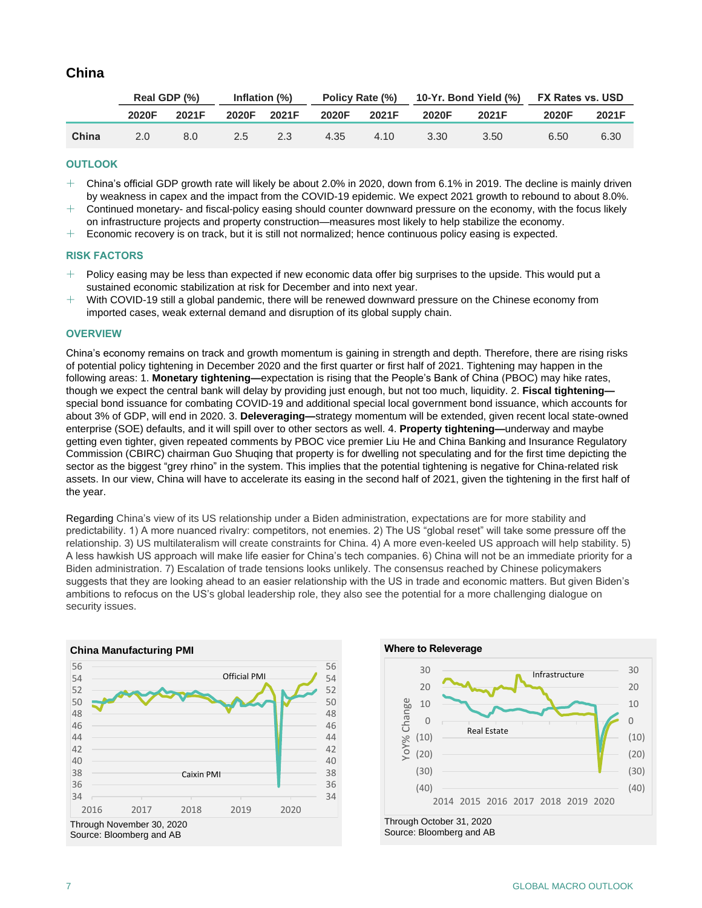## **China**

|       | Real GDP (%)  |       | Inflation $(\%)$ |       |       |       | Policy Rate (%) 10-Yr. Bond Yield (%) FX Rates vs. USD |       |       |       |
|-------|---------------|-------|------------------|-------|-------|-------|--------------------------------------------------------|-------|-------|-------|
|       | 2020F         | 2021F | 2020F            | 2021F | 2020F | 2021F | 2020F                                                  | 2021F | 2020F | 2021F |
| China | $2.0^{\circ}$ | 8.0   | 2.5              | 2.3   | 4.35  | 4.10  | 3.30                                                   | 3.50  | 6.50  | 6.30  |

## **OUTLOOK**

- $+$  China's official GDP growth rate will likely be about 2.0% in 2020, down from 6.1% in 2019. The decline is mainly driven by weakness in capex and the impact from the COVID-19 epidemic. We expect 2021 growth to rebound to about 8.0%.
- $+$  Continued monetary- and fiscal-policy easing should counter downward pressure on the economy, with the focus likely on infrastructure projects and property construction—measures most likely to help stabilize the economy.
- $+$  Economic recovery is on track, but it is still not normalized; hence continuous policy easing is expected.

## **RISK FACTORS**

- $+$  Policy easing may be less than expected if new economic data offer big surprises to the upside. This would put a sustained economic stabilization at risk for December and into next year.
- With COVID-19 still a global pandemic, there will be renewed downward pressure on the Chinese economy from imported cases, weak external demand and disruption of its global supply chain.

## **OVERVIEW**

China's economy remains on track and growth momentum is gaining in strength and depth. Therefore, there are rising risks of potential policy tightening in December 2020 and the first quarter or first half of 2021. Tightening may happen in the following areas: 1. **Monetary tightening—**expectation is rising that the People's Bank of China (PBOC) may hike rates, though we expect the central bank will delay by providing just enough, but not too much, liquidity. 2. **Fiscal tightening** special bond issuance for combating COVID-19 and additional special local government bond issuance, which accounts for about 3% of GDP, will end in 2020. 3. **Deleveraging—**strategy momentum will be extended, given recent local state-owned enterprise (SOE) defaults, and it will spill over to other sectors as well. 4. **Property tightening—**underway and maybe getting even tighter, given repeated comments by PBOC vice premier Liu He and China Banking and Insurance Regulatory Commission (CBIRC) chairman Guo Shuqing that property is for dwelling not speculating and for the first time depicting the sector as the biggest "grey rhino" in the system. This implies that the potential tightening is negative for China-related risk assets. In our view, China will have to accelerate its easing in the second half of 2021, given the tightening in the first half of the year.

Regarding China's view of its US relationship under a Biden administration, expectations are for more stability and predictability. 1) A more nuanced rivalry: competitors, not enemies. 2) The US "global reset" will take some pressure off the relationship. 3) US multilateralism will create constraints for China. 4) A more even-keeled US approach will help stability. 5) A less hawkish US approach will make life easier for China's tech companies. 6) China will not be an immediate priority for a Biden administration. 7) Escalation of trade tensions looks unlikely. The consensus reached by Chinese policymakers suggests that they are looking ahead to an easier relationship with the US in trade and economic matters. But given Biden's ambitions to refocus on the US's global leadership role, they also see the potential for a more challenging dialogue on security issues.



Source: Bloomberg and AB

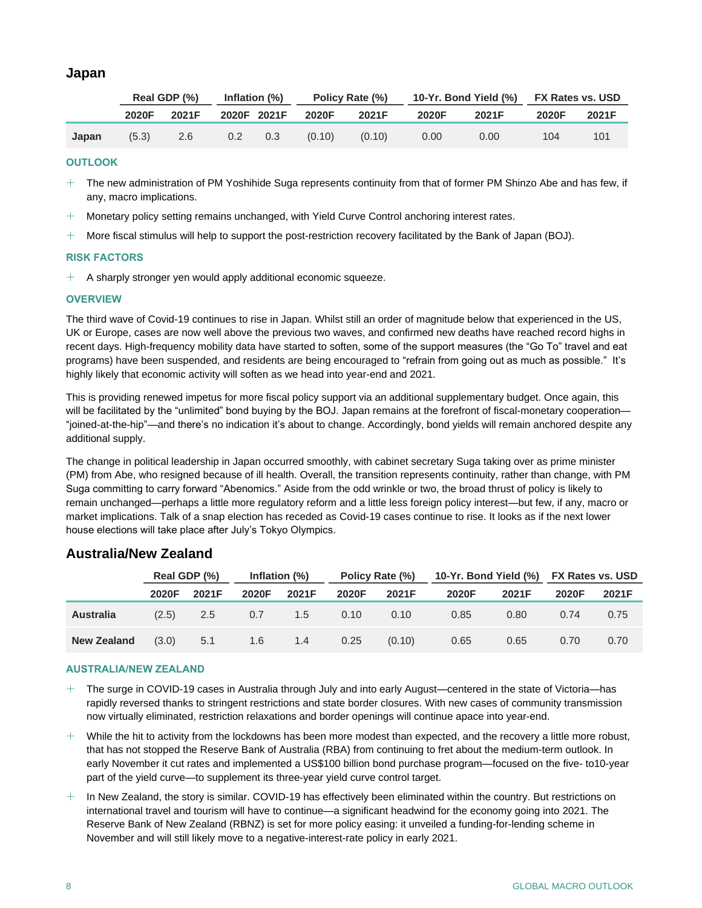## **Japan**

|       | Real GDP (%) |       | Inflation (%) |     | Policy Rate (%) |        | 10-Yr. Bond Yield (%) |       | <b>FX Rates vs. USD</b> |       |
|-------|--------------|-------|---------------|-----|-----------------|--------|-----------------------|-------|-------------------------|-------|
|       | 2020F        | 2021F | 2020F 2021F   |     | 2020F           | 2021F  | 2020F                 | 2021F | 2020F                   | 2021F |
| Japan | (5.3)        | 2.6   | $0.2^{\circ}$ | 0.3 | (0.10)          | (0.10) | 0.00                  | 0.00  | 104                     | 101   |

## **OUTLOOK**

- $+$  The new administration of PM Yoshihide Suga represents continuity from that of former PM Shinzo Abe and has few, if any, macro implications.
- $+$  Monetary policy setting remains unchanged, with Yield Curve Control anchoring interest rates.
- $+$  More fiscal stimulus will help to support the post-restriction recovery facilitated by the Bank of Japan (BOJ).

## **RISK FACTORS**

 $+$  A sharply stronger yen would apply additional economic squeeze.

## **OVERVIEW**

The third wave of Covid-19 continues to rise in Japan. Whilst still an order of magnitude below that experienced in the US, UK or Europe, cases are now well above the previous two waves, and confirmed new deaths have reached record highs in recent days. High-frequency mobility data have started to soften, some of the support measures (the "Go To" travel and eat programs) have been suspended, and residents are being encouraged to "refrain from going out as much as possible." It's highly likely that economic activity will soften as we head into year-end and 2021.

This is providing renewed impetus for more fiscal policy support via an additional supplementary budget. Once again, this will be facilitated by the "unlimited" bond buying by the BOJ. Japan remains at the forefront of fiscal-monetary cooperation— "joined-at-the-hip"—and there's no indication it's about to change. Accordingly, bond yields will remain anchored despite any additional supply.

The change in political leadership in Japan occurred smoothly, with cabinet secretary Suga taking over as prime minister (PM) from Abe, who resigned because of ill health. Overall, the transition represents continuity, rather than change, with PM Suga committing to carry forward "Abenomics." Aside from the odd wrinkle or two, the broad thrust of policy is likely to remain unchanged—perhaps a little more regulatory reform and a little less foreign policy interest—but few, if any, macro or market implications. Talk of a snap election has receded as Covid-19 cases continue to rise. It looks as if the next lower house elections will take place after July's Tokyo Olympics.

## **Real GDP (%) Inflation (%) Policy Rate (%) 10-Yr. Bond Yield (%) FX Rates vs. USD 2020F 2021F 2020F 2021F 2020F 2021F 2020F 2021F 2020F 2021F Australia** (2.5) 2.5 0.7 1.5 0.10 0.10 0.85 0.80 0.74 0.75 **New Zealand** (3.0) 5.1 1.6 1.4 0.25 (0.10) 0.65 0.65 0.70 0.70

## **Australia/New Zealand**

## **AUSTRALIA/NEW ZEALAND**

- $+$  The surge in COVID-19 cases in Australia through July and into early August—centered in the state of Victoria—has rapidly reversed thanks to stringent restrictions and state border closures. With new cases of community transmission now virtually eliminated, restriction relaxations and border openings will continue apace into year-end.
- $+$  While the hit to activity from the lockdowns has been more modest than expected, and the recovery a little more robust, that has not stopped the Reserve Bank of Australia (RBA) from continuing to fret about the medium-term outlook. In early November it cut rates and implemented a US\$100 billion bond purchase program—focused on the five- to10-year part of the yield curve—to supplement its three-year yield curve control target.
- $+$  In New Zealand, the story is similar. COVID-19 has effectively been eliminated within the country. But restrictions on international travel and tourism will have to continue—a significant headwind for the economy going into 2021. The Reserve Bank of New Zealand (RBNZ) is set for more policy easing: it unveiled a funding-for-lending scheme in November and will still likely move to a negative-interest-rate policy in early 2021.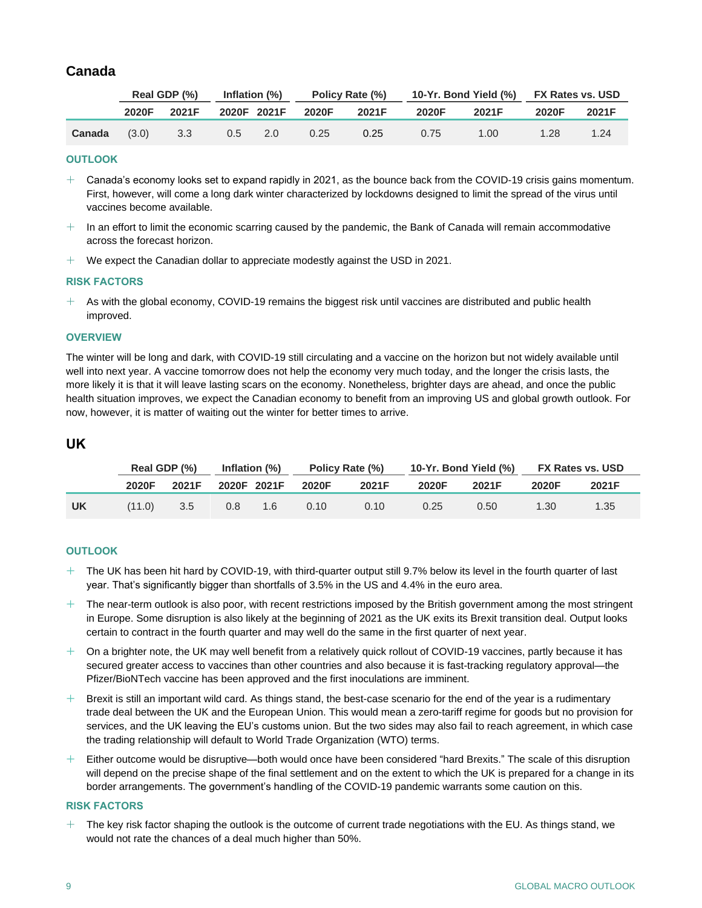## **Canada**

|        | Real GDP (%) |       | Inflation (%) |             | Policy Rate (%) |       | 10-Yr. Bond Yield (%) FX Rates vs. USD |       |       |       |
|--------|--------------|-------|---------------|-------------|-----------------|-------|----------------------------------------|-------|-------|-------|
|        | 2020F        | 2021F |               | 2020F 2021F | 2020F           | 2021F | 2020F                                  | 2021F | 2020F | 2021F |
| Canada | (3.0)        | 3.3   | $0.5$ 2.0     |             | 0.25            | 0.25  | 0.75                                   | 1.00  | 1.28  | 1.24  |

## **OUTLOOK**

- $+$  Canada's economy looks set to expand rapidly in 2021, as the bounce back from the COVID-19 crisis gains momentum. First, however, will come a long dark winter characterized by lockdowns designed to limit the spread of the virus until vaccines become available.
- $+$  In an effort to limit the economic scarring caused by the pandemic, the Bank of Canada will remain accommodative across the forecast horizon.
- $+$  We expect the Canadian dollar to appreciate modestly against the USD in 2021.

## **RISK FACTORS**

 $+$  As with the global economy, COVID-19 remains the biggest risk until vaccines are distributed and public health improved.

## **OVERVIEW**

The winter will be long and dark, with COVID-19 still circulating and a vaccine on the horizon but not widely available until well into next year. A vaccine tomorrow does not help the economy very much today, and the longer the crisis lasts, the more likely it is that it will leave lasting scars on the economy. Nonetheless, brighter days are ahead, and once the public health situation improves, we expect the Canadian economy to benefit from an improving US and global growth outlook. For now, however, it is matter of waiting out the winter for better times to arrive.

## **UK**

|    |        | Real GDP (%) |     | Inflation (%)<br>Policy Rate (%) |       |       | 10-Yr. Bond Yield (%) | <b>FX Rates vs. USD</b> |       |       |
|----|--------|--------------|-----|----------------------------------|-------|-------|-----------------------|-------------------------|-------|-------|
|    | 2020F  | 2021F        |     | 2020F 2021F                      | 2020F | 2021F | 2020F                 | 2021F                   | 2020F | 2021F |
| UK | (11.0) | 3.5          | 0.8 | 1.6                              | 0.10  | 0.10  | 0.25                  | 0.50                    | 1.30  | 1.35  |

## **OUTLOOK**

- $+$  The UK has been hit hard by COVID-19, with third-quarter output still 9.7% below its level in the fourth quarter of last year. That's significantly bigger than shortfalls of 3.5% in the US and 4.4% in the euro area.
- $+$  The near-term outlook is also poor, with recent restrictions imposed by the British government among the most stringent in Europe. Some disruption is also likely at the beginning of 2021 as the UK exits its Brexit transition deal. Output looks certain to contract in the fourth quarter and may well do the same in the first quarter of next year.
- $+$  On a brighter note, the UK may well benefit from a relatively quick rollout of COVID-19 vaccines, partly because it has secured greater access to vaccines than other countries and also because it is fast-tracking regulatory approval—the Pfizer/BioNTech vaccine has been approved and the first inoculations are imminent.
- $+$  Brexit is still an important wild card. As things stand, the best-case scenario for the end of the year is a rudimentary trade deal between the UK and the European Union. This would mean a zero-tariff regime for goods but no provision for services, and the UK leaving the EU's customs union. But the two sides may also fail to reach agreement, in which case the trading relationship will default to World Trade Organization (WTO) terms.
- $+$  Either outcome would be disruptive—both would once have been considered "hard Brexits." The scale of this disruption will depend on the precise shape of the final settlement and on the extent to which the UK is prepared for a change in its border arrangements. The government's handling of the COVID-19 pandemic warrants some caution on this.

## **RISK FACTORS**

 $+$  The key risk factor shaping the outlook is the outcome of current trade negotiations with the EU. As things stand, we would not rate the chances of a deal much higher than 50%.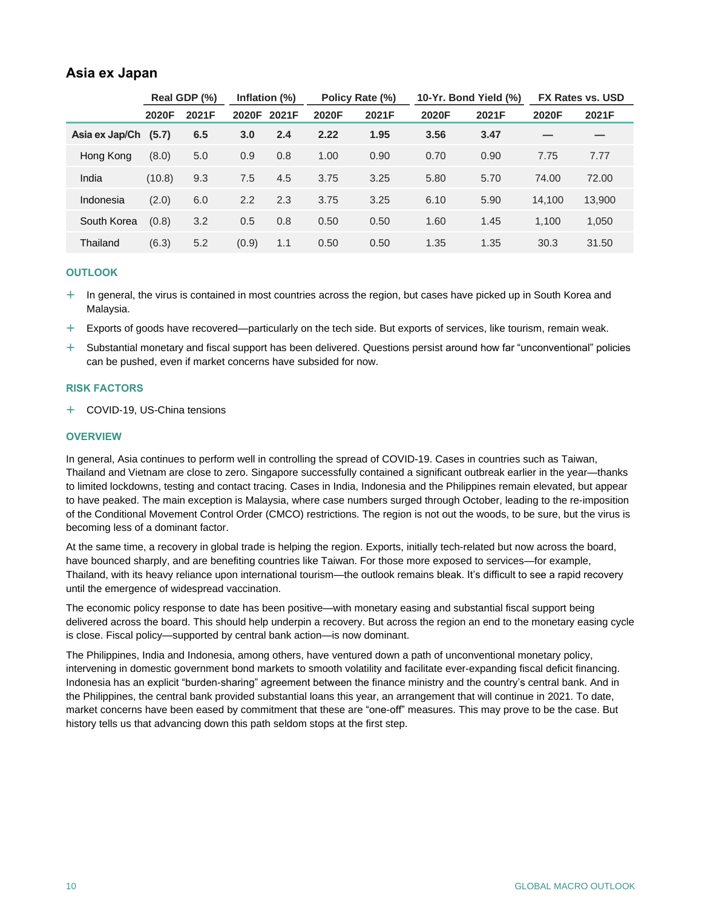## **Asia ex Japan**

|                |        | Real GDP (%) |       | Inflation (%) |       | Policy Rate (%) |       | 10-Yr. Bond Yield (%) | <b>FX Rates vs. USD</b> |        |
|----------------|--------|--------------|-------|---------------|-------|-----------------|-------|-----------------------|-------------------------|--------|
|                | 2020F  | 2021F        | 2020F | 2021F         | 2020F | 2021F           | 2020F | 2021F                 | 2020F                   | 2021F  |
| Asia ex Jap/Ch | (5.7)  | 6.5          | 3.0   | 2.4           | 2.22  | 1.95            | 3.56  | 3.47                  | _                       |        |
| Hong Kong      | (8.0)  | 5.0          | 0.9   | 0.8           | 1.00  | 0.90            | 0.70  | 0.90                  | 7.75                    | 7.77   |
| India          | (10.8) | 9.3          | 7.5   | 4.5           | 3.75  | 3.25            | 5.80  | 5.70                  | 74.00                   | 72.00  |
| Indonesia      | (2.0)  | 6.0          | 2.2   | 2.3           | 3.75  | 3.25            | 6.10  | 5.90                  | 14.100                  | 13,900 |
| South Korea    | (0.8)  | 3.2          | 0.5   | 0.8           | 0.50  | 0.50            | 1.60  | 1.45                  | 1.100                   | 1,050  |
| Thailand       | (6.3)  | 5.2          | (0.9) | 1.1           | 0.50  | 0.50            | 1.35  | 1.35                  | 30.3                    | 31.50  |

## **OUTLOOK**

- $+$  In general, the virus is contained in most countries across the region, but cases have picked up in South Korea and Malaysia.
- Exports of goods have recovered—particularly on the tech side. But exports of services, like tourism, remain weak.
- $+$  Substantial monetary and fiscal support has been delivered. Questions persist around how far "unconventional" policies can be pushed, even if market concerns have subsided for now.

## **RISK FACTORS**

COVID-19, US-China tensions

## **OVERVIEW**

In general, Asia continues to perform well in controlling the spread of COVID-19. Cases in countries such as Taiwan, Thailand and Vietnam are close to zero. Singapore successfully contained a significant outbreak earlier in the year—thanks to limited lockdowns, testing and contact tracing. Cases in India, Indonesia and the Philippines remain elevated, but appear to have peaked. The main exception is Malaysia, where case numbers surged through October, leading to the re-imposition of the Conditional Movement Control Order (CMCO) restrictions. The region is not out the woods, to be sure, but the virus is becoming less of a dominant factor.

At the same time, a recovery in global trade is helping the region. Exports, initially tech-related but now across the board, have bounced sharply, and are benefiting countries like Taiwan. For those more exposed to services—for example, Thailand, with its heavy reliance upon international tourism—the outlook remains bleak. It's difficult to see a rapid recovery until the emergence of widespread vaccination.

The economic policy response to date has been positive—with monetary easing and substantial fiscal support being delivered across the board. This should help underpin a recovery. But across the region an end to the monetary easing cycle is close. Fiscal policy—supported by central bank action—is now dominant.

The Philippines, India and Indonesia, among others, have ventured down a path of unconventional monetary policy, intervening in domestic government bond markets to smooth volatility and facilitate ever-expanding fiscal deficit financing. Indonesia has an explicit "burden-sharing" agreement between the finance ministry and the country's central bank. And in the Philippines, the central bank provided substantial loans this year, an arrangement that will continue in 2021. To date, market concerns have been eased by commitment that these are "one-off" measures. This may prove to be the case. But history tells us that advancing down this path seldom stops at the first step.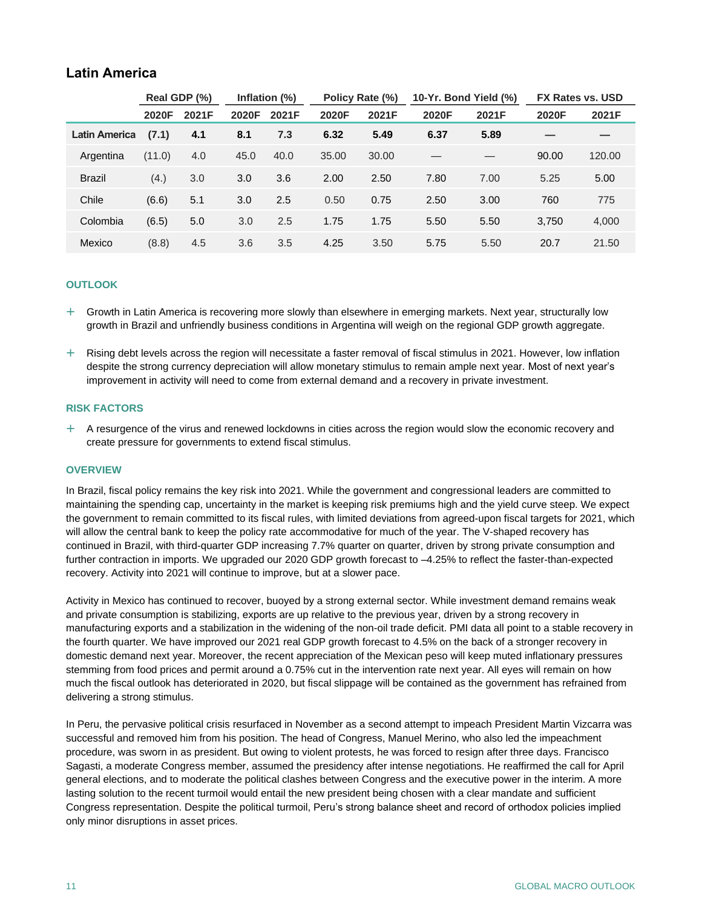## **Latin America**

|                      | Real GDP (%) |       | Inflation (%) |       |       | Policy Rate (%) |       | 10-Yr. Bond Yield (%) |       | FX Rates vs. USD |
|----------------------|--------------|-------|---------------|-------|-------|-----------------|-------|-----------------------|-------|------------------|
|                      | 2020F        | 2021F | 2020F         | 2021F | 2020F | 2021F           | 2020F | 2021F                 | 2020F | 2021F            |
| <b>Latin America</b> | (7.1)        | 4.1   | 8.1           | 7.3   | 6.32  | 5.49            | 6.37  | 5.89                  |       |                  |
| Argentina            | (11.0)       | 4.0   | 45.0          | 40.0  | 35.00 | 30.00           |       |                       | 90.00 | 120.00           |
| <b>Brazil</b>        | (4.)         | 3.0   | 3.0           | 3.6   | 2.00  | 2.50            | 7.80  | 7.00                  | 5.25  | 5.00             |
| Chile                | (6.6)        | 5.1   | 3.0           | 2.5   | 0.50  | 0.75            | 2.50  | 3.00                  | 760   | 775              |
| Colombia             | (6.5)        | 5.0   | 3.0           | 2.5   | 1.75  | 1.75            | 5.50  | 5.50                  | 3.750 | 4,000            |
| Mexico               | (8.8)        | 4.5   | 3.6           | 3.5   | 4.25  | 3.50            | 5.75  | 5.50                  | 20.7  | 21.50            |

## **OUTLOOK**

 $+$  Growth in Latin America is recovering more slowly than elsewhere in emerging markets. Next year, structurally low growth in Brazil and unfriendly business conditions in Argentina will weigh on the regional GDP growth aggregate.

 $+$  Rising debt levels across the region will necessitate a faster removal of fiscal stimulus in 2021. However, low inflation despite the strong currency depreciation will allow monetary stimulus to remain ample next year. Most of next year's improvement in activity will need to come from external demand and a recovery in private investment.

## **RISK FACTORS**

 $+$  A resurgence of the virus and renewed lockdowns in cities across the region would slow the economic recovery and create pressure for governments to extend fiscal stimulus.

## **OVERVIEW**

In Brazil, fiscal policy remains the key risk into 2021. While the government and congressional leaders are committed to maintaining the spending cap, uncertainty in the market is keeping risk premiums high and the yield curve steep. We expect the government to remain committed to its fiscal rules, with limited deviations from agreed-upon fiscal targets for 2021, which will allow the central bank to keep the policy rate accommodative for much of the year. The V-shaped recovery has continued in Brazil, with third-quarter GDP increasing 7.7% quarter on quarter, driven by strong private consumption and further contraction in imports. We upgraded our 2020 GDP growth forecast to –4.25% to reflect the faster-than-expected recovery. Activity into 2021 will continue to improve, but at a slower pace.

Activity in Mexico has continued to recover, buoyed by a strong external sector. While investment demand remains weak and private consumption is stabilizing, exports are up relative to the previous year, driven by a strong recovery in manufacturing exports and a stabilization in the widening of the non-oil trade deficit. PMI data all point to a stable recovery in the fourth quarter. We have improved our 2021 real GDP growth forecast to 4.5% on the back of a stronger recovery in domestic demand next year. Moreover, the recent appreciation of the Mexican peso will keep muted inflationary pressures stemming from food prices and permit around a 0.75% cut in the intervention rate next year. All eyes will remain on how much the fiscal outlook has deteriorated in 2020, but fiscal slippage will be contained as the government has refrained from delivering a strong stimulus.

In Peru, the pervasive political crisis resurfaced in November as a second attempt to impeach President Martin Vizcarra was successful and removed him from his position. The head of Congress, Manuel Merino, who also led the impeachment procedure, was sworn in as president. But owing to violent protests, he was forced to resign after three days. Francisco Sagasti, a moderate Congress member, assumed the presidency after intense negotiations. He reaffirmed the call for April general elections, and to moderate the political clashes between Congress and the executive power in the interim. A more lasting solution to the recent turmoil would entail the new president being chosen with a clear mandate and sufficient Congress representation. Despite the political turmoil, Peru's strong balance sheet and record of orthodox policies implied only minor disruptions in asset prices.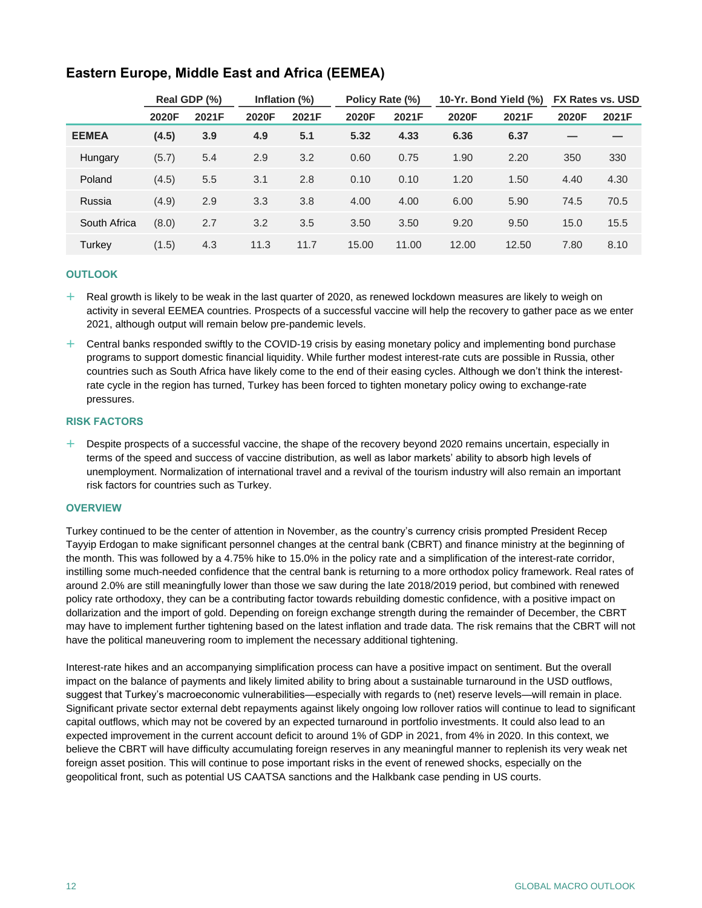|              | Real GDP (%) |       | Inflation (%) |       | Policy Rate (%) |       | 10-Yr. Bond Yield (%) |       | <b>FX Rates vs. USD</b> |       |
|--------------|--------------|-------|---------------|-------|-----------------|-------|-----------------------|-------|-------------------------|-------|
|              | 2020F        | 2021F | 2020F         | 2021F | 2020F           | 2021F | 2020F                 | 2021F | 2020F                   | 2021F |
| <b>EEMEA</b> | (4.5)        | 3.9   | 4.9           | 5.1   | 5.32            | 4.33  | 6.36                  | 6.37  | -                       |       |
| Hungary      | (5.7)        | 5.4   | 2.9           | 3.2   | 0.60            | 0.75  | 1.90                  | 2.20  | 350                     | 330   |
| Poland       | (4.5)        | 5.5   | 3.1           | 2.8   | 0.10            | 0.10  | 1.20                  | 1.50  | 4.40                    | 4.30  |
| Russia       | (4.9)        | 2.9   | 3.3           | 3.8   | 4.00            | 4.00  | 6.00                  | 5.90  | 74.5                    | 70.5  |
| South Africa | (8.0)        | 2.7   | 3.2           | 3.5   | 3.50            | 3.50  | 9.20                  | 9.50  | 15.0                    | 15.5  |
| Turkey       | (1.5)        | 4.3   | 11.3          | 11.7  | 15.00           | 11.00 | 12.00                 | 12.50 | 7.80                    | 8.10  |

## **Eastern Europe, Middle East and Africa (EEMEA)**

## **OUTLOOK**

- $+$  Real growth is likely to be weak in the last quarter of 2020, as renewed lockdown measures are likely to weigh on activity in several EEMEA countries. Prospects of a successful vaccine will help the recovery to gather pace as we enter 2021, although output will remain below pre-pandemic levels.
- $+$  Central banks responded swiftly to the COVID-19 crisis by easing monetary policy and implementing bond purchase programs to support domestic financial liquidity. While further modest interest-rate cuts are possible in Russia, other countries such as South Africa have likely come to the end of their easing cycles. Although we don't think the interestrate cycle in the region has turned, Turkey has been forced to tighten monetary policy owing to exchange-rate pressures.

## **RISK FACTORS**

 $+$  Despite prospects of a successful vaccine, the shape of the recovery beyond 2020 remains uncertain, especially in terms of the speed and success of vaccine distribution, as well as labor markets' ability to absorb high levels of unemployment. Normalization of international travel and a revival of the tourism industry will also remain an important risk factors for countries such as Turkey.

## **OVERVIEW**

Turkey continued to be the center of attention in November, as the country's currency crisis prompted President Recep Tayyip Erdogan to make significant personnel changes at the central bank (CBRT) and finance ministry at the beginning of the month. This was followed by a 4.75% hike to 15.0% in the policy rate and a simplification of the interest-rate corridor, instilling some much-needed confidence that the central bank is returning to a more orthodox policy framework. Real rates of around 2.0% are still meaningfully lower than those we saw during the late 2018/2019 period, but combined with renewed policy rate orthodoxy, they can be a contributing factor towards rebuilding domestic confidence, with a positive impact on dollarization and the import of gold. Depending on foreign exchange strength during the remainder of December, the CBRT may have to implement further tightening based on the latest inflation and trade data. The risk remains that the CBRT will not have the political maneuvering room to implement the necessary additional tightening.

Interest-rate hikes and an accompanying simplification process can have a positive impact on sentiment. But the overall impact on the balance of payments and likely limited ability to bring about a sustainable turnaround in the USD outflows, suggest that Turkey's macroeconomic vulnerabilities—especially with regards to (net) reserve levels—will remain in place. Significant private sector external debt repayments against likely ongoing low rollover ratios will continue to lead to significant capital outflows, which may not be covered by an expected turnaround in portfolio investments. It could also lead to an expected improvement in the current account deficit to around 1% of GDP in 2021, from 4% in 2020. In this context, we believe the CBRT will have difficulty accumulating foreign reserves in any meaningful manner to replenish its very weak net foreign asset position. This will continue to pose important risks in the event of renewed shocks, especially on the geopolitical front, such as potential US CAATSA sanctions and the Halkbank case pending in US courts.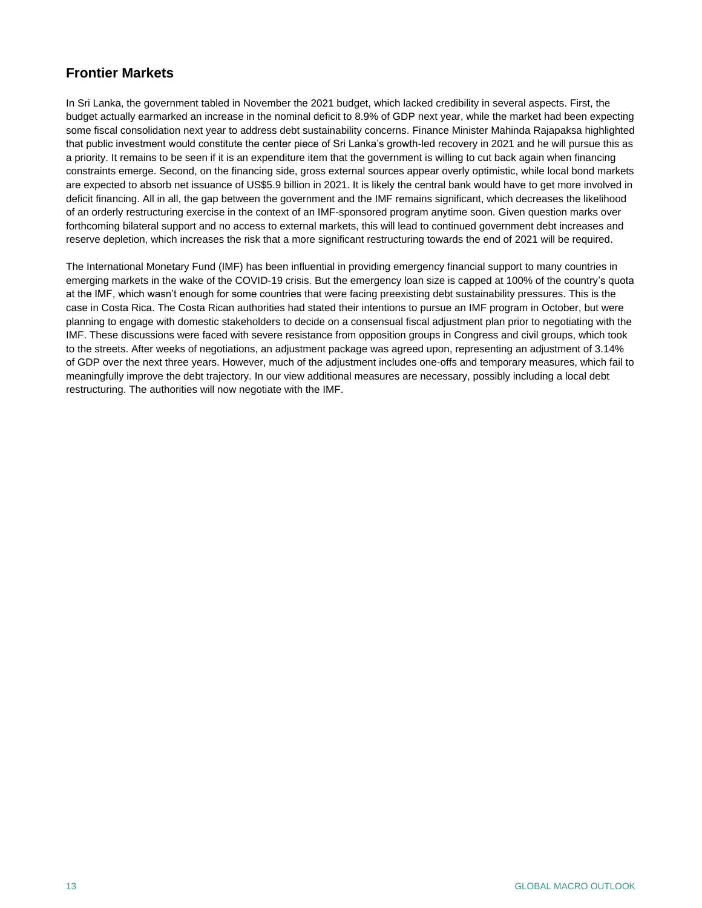## **Frontier Markets**

In Sri Lanka, the government tabled in November the 2021 budget, which lacked credibility in several aspects. First, the budget actually earmarked an increase in the nominal deficit to 8.9% of GDP next year, while the market had been expecting some fiscal consolidation next year to address debt sustainability concerns. Finance Minister Mahinda Rajapaksa highlighted that public investment would constitute the center piece of Sri Lanka's growth-led recovery in 2021 and he will pursue this as a priority. It remains to be seen if it is an expenditure item that the government is willing to cut back again when financing constraints emerge. Second, on the financing side, gross external sources appear overly optimistic, while local bond markets are expected to absorb net issuance of US\$5.9 billion in 2021. It is likely the central bank would have to get more involved in deficit financing. All in all, the gap between the government and the IMF remains significant, which decreases the likelihood of an orderly restructuring exercise in the context of an IMF-sponsored program anytime soon. Given question marks over forthcoming bilateral support and no access to external markets, this will lead to continued government debt increases and reserve depletion, which increases the risk that a more significant restructuring towards the end of 2021 will be required.

The International Monetary Fund (IMF) has been influential in providing emergency financial support to many countries in emerging markets in the wake of the COVID-19 crisis. But the emergency loan size is capped at 100% of the country's quota at the IMF, which wasn't enough for some countries that were facing preexisting debt sustainability pressures. This is the case in Costa Rica. The Costa Rican authorities had stated their intentions to pursue an IMF program in October, but were planning to engage with domestic stakeholders to decide on a consensual fiscal adjustment plan prior to negotiating with the IMF. These discussions were faced with severe resistance from opposition groups in Congress and civil groups, which took to the streets. After weeks of negotiations, an adjustment package was agreed upon, representing an adjustment of 3.14% of GDP over the next three years. However, much of the adjustment includes one-offs and temporary measures, which fail to meaningfully improve the debt trajectory. In our view additional measures are necessary, possibly including a local debt restructuring. The authorities will now negotiate with the IMF.